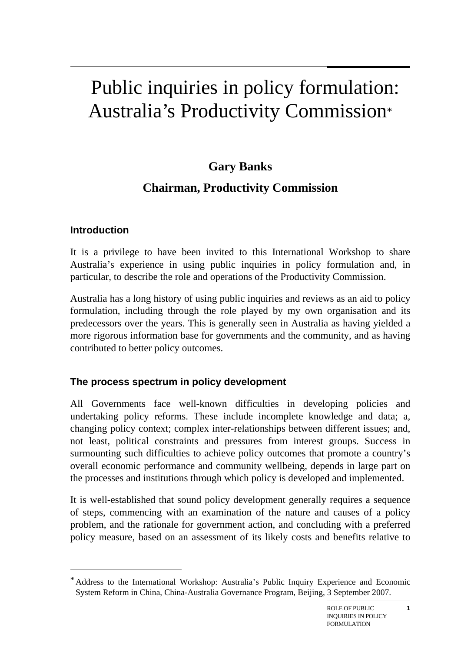# Public inquiries in policy formulation: Australia's Productivity Commission\*

## **Gary Banks**

# **Chairman, Productivity Commission**

## **Introduction**

 $\overline{a}$ 

It is a privilege to have been invited to this International Workshop to share Australia's experience in using public inquiries in policy formulation and, in particular, to describe the role and operations of the Productivity Commission.

Australia has a long history of using public inquiries and reviews as an aid to policy formulation, including through the role played by my own organisation and its predecessors over the years. This is generally seen in Australia as having yielded a more rigorous information base for governments and the community, and as having contributed to better policy outcomes.

## **The process spectrum in policy development**

All Governments face well-known difficulties in developing policies and undertaking policy reforms. These include incomplete knowledge and data; a, changing policy context; complex inter-relationships between different issues; and, not least, political constraints and pressures from interest groups. Success in surmounting such difficulties to achieve policy outcomes that promote a country's overall economic performance and community wellbeing, depends in large part on the processes and institutions through which policy is developed and implemented.

It is well-established that sound policy development generally requires a sequence of steps, commencing with an examination of the nature and causes of a policy problem, and the rationale for government action, and concluding with a preferred policy measure, based on an assessment of its likely costs and benefits relative to

**1**

<sup>\*</sup> Address to the International Workshop: Australia's Public Inquiry Experience and Economic System Reform in China, China-Australia Governance Program, Beijing, 3 September 2007.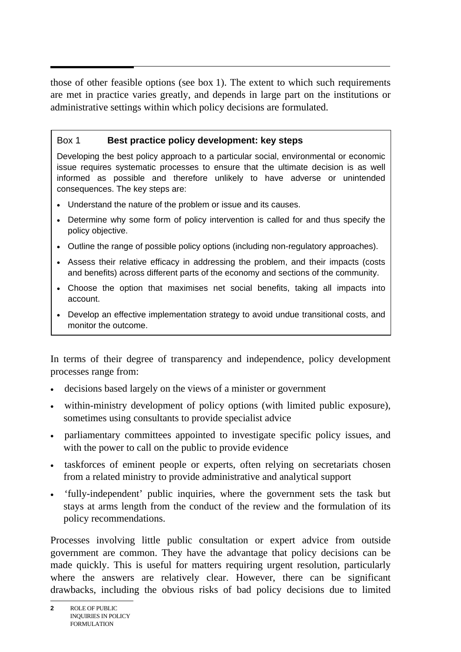those of other feasible options (see box 1). The extent to which such requirements are met in practice varies greatly, and depends in large part on the institutions or administrative settings within which policy decisions are formulated.

#### Box 1 **Best practice policy development: key steps**

Developing the best policy approach to a particular social, environmental or economic issue requires systematic processes to ensure that the ultimate decision is as well informed as possible and therefore unlikely to have adverse or unintended consequences. The key steps are:

- Understand the nature of the problem or issue and its causes.
- Determine why some form of policy intervention is called for and thus specify the policy objective.
- Outline the range of possible policy options (including non-regulatory approaches).
- Assess their relative efficacy in addressing the problem, and their impacts (costs and benefits) across different parts of the economy and sections of the community.
- Choose the option that maximises net social benefits, taking all impacts into account.
- Develop an effective implementation strategy to avoid undue transitional costs, and monitor the outcome.

In terms of their degree of transparency and independence, policy development processes range from:

- decisions based largely on the views of a minister or government
- within-ministry development of policy options (with limited public exposure), sometimes using consultants to provide specialist advice
- parliamentary committees appointed to investigate specific policy issues, and with the power to call on the public to provide evidence
- taskforces of eminent people or experts, often relying on secretariats chosen from a related ministry to provide administrative and analytical support
- 'fully-independent' public inquiries, where the government sets the task but stays at arms length from the conduct of the review and the formulation of its policy recommendations.

Processes involving little public consultation or expert advice from outside government are common. They have the advantage that policy decisions can be made quickly. This is useful for matters requiring urgent resolution, particularly where the answers are relatively clear. However, there can be significant drawbacks, including the obvious risks of bad policy decisions due to limited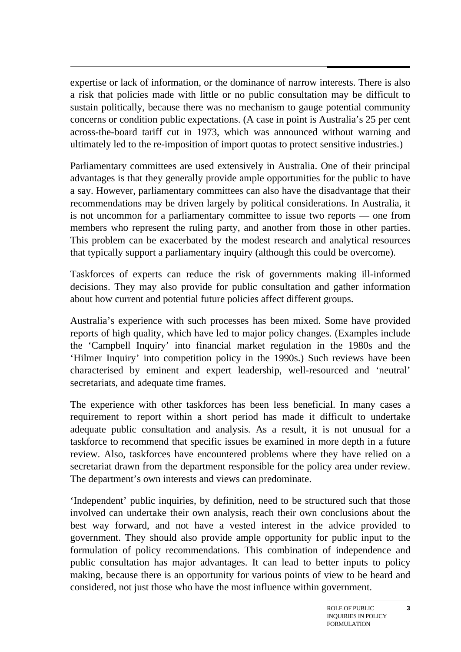expertise or lack of information, or the dominance of narrow interests. There is also a risk that policies made with little or no public consultation may be difficult to sustain politically, because there was no mechanism to gauge potential community concerns or condition public expectations. (A case in point is Australia's 25 per cent across-the-board tariff cut in 1973, which was announced without warning and ultimately led to the re-imposition of import quotas to protect sensitive industries.)

Parliamentary committees are used extensively in Australia. One of their principal advantages is that they generally provide ample opportunities for the public to have a say. However, parliamentary committees can also have the disadvantage that their recommendations may be driven largely by political considerations. In Australia, it is not uncommon for a parliamentary committee to issue two reports — one from members who represent the ruling party, and another from those in other parties. This problem can be exacerbated by the modest research and analytical resources that typically support a parliamentary inquiry (although this could be overcome).

Taskforces of experts can reduce the risk of governments making ill-informed decisions. They may also provide for public consultation and gather information about how current and potential future policies affect different groups.

Australia's experience with such processes has been mixed. Some have provided reports of high quality, which have led to major policy changes. (Examples include the 'Campbell Inquiry' into financial market regulation in the 1980s and the 'Hilmer Inquiry' into competition policy in the 1990s.) Such reviews have been characterised by eminent and expert leadership, well-resourced and 'neutral' secretariats, and adequate time frames.

The experience with other taskforces has been less beneficial. In many cases a requirement to report within a short period has made it difficult to undertake adequate public consultation and analysis. As a result, it is not unusual for a taskforce to recommend that specific issues be examined in more depth in a future review. Also, taskforces have encountered problems where they have relied on a secretariat drawn from the department responsible for the policy area under review. The department's own interests and views can predominate.

'Independent' public inquiries, by definition, need to be structured such that those involved can undertake their own analysis, reach their own conclusions about the best way forward, and not have a vested interest in the advice provided to government. They should also provide ample opportunity for public input to the formulation of policy recommendations. This combination of independence and public consultation has major advantages. It can lead to better inputs to policy making, because there is an opportunity for various points of view to be heard and considered, not just those who have the most influence within government.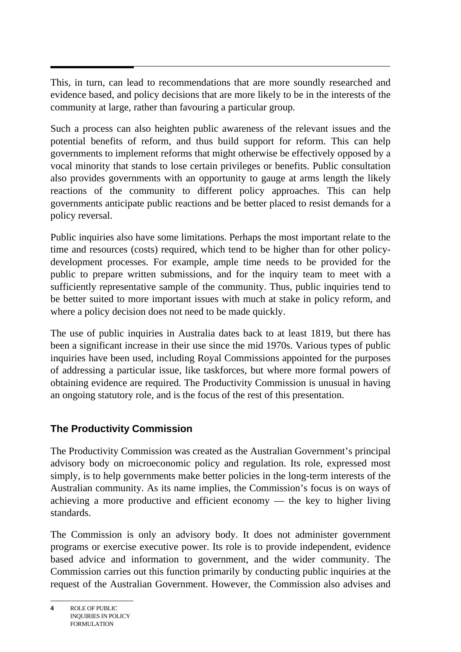$\overline{a}$ This, in turn, can lead to recommendations that are more soundly researched and evidence based, and policy decisions that are more likely to be in the interests of the community at large, rather than favouring a particular group.

Such a process can also heighten public awareness of the relevant issues and the potential benefits of reform, and thus build support for reform. This can help governments to implement reforms that might otherwise be effectively opposed by a vocal minority that stands to lose certain privileges or benefits. Public consultation also provides governments with an opportunity to gauge at arms length the likely reactions of the community to different policy approaches. This can help governments anticipate public reactions and be better placed to resist demands for a policy reversal.

Public inquiries also have some limitations. Perhaps the most important relate to the time and resources (costs) required, which tend to be higher than for other policydevelopment processes. For example, ample time needs to be provided for the public to prepare written submissions, and for the inquiry team to meet with a sufficiently representative sample of the community. Thus, public inquiries tend to be better suited to more important issues with much at stake in policy reform, and where a policy decision does not need to be made quickly.

The use of public inquiries in Australia dates back to at least 1819, but there has been a significant increase in their use since the mid 1970s. Various types of public inquiries have been used, including Royal Commissions appointed for the purposes of addressing a particular issue, like taskforces, but where more formal powers of obtaining evidence are required. The Productivity Commission is unusual in having an ongoing statutory role, and is the focus of the rest of this presentation.

## **The Productivity Commission**

The Productivity Commission was created as the Australian Government's principal advisory body on microeconomic policy and regulation. Its role, expressed most simply, is to help governments make better policies in the long-term interests of the Australian community. As its name implies, the Commission's focus is on ways of achieving a more productive and efficient economy — the key to higher living standards.

The Commission is only an advisory body. It does not administer government programs or exercise executive power. Its role is to provide independent, evidence based advice and information to government, and the wider community. The Commission carries out this function primarily by conducting public inquiries at the request of the Australian Government. However, the Commission also advises and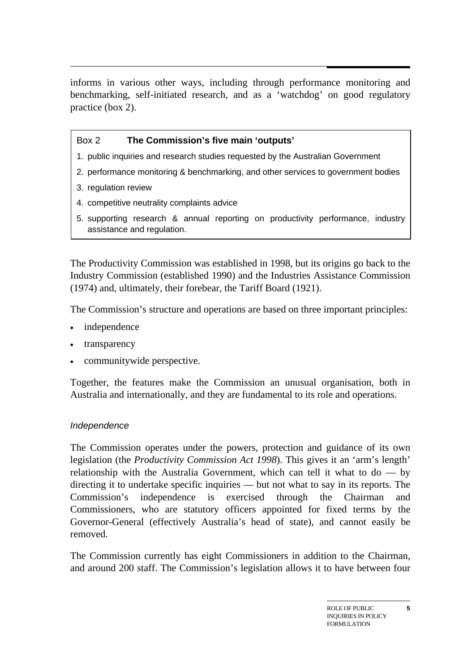$\ddot{\phantom{0}}$ informs in various other ways, including through performance monitoring and benchmarking, self-initiated research, and as a 'watchdog' on good regulatory practice (box 2).

#### Box 2 **The Commission's five main 'outputs'**

- 1. public inquiries and research studies requested by the Australian Government
- 2. performance monitoring & benchmarking, and other services to government bodies
- 3. regulation review
- 4. competitive neutrality complaints advice
- 5. supporting research & annual reporting on productivity performance, industry assistance and regulation.

The Productivity Commission was established in 1998, but its origins go back to the Industry Commission (established 1990) and the Industries Assistance Commission (1974) and, ultimately, their forebear, the Tariff Board (1921).

The Commission's structure and operations are based on three important principles:

- independence
- transparency
- communitywide perspective.

Together, the features make the Commission an unusual organisation, both in Australia and internationally, and they are fundamental to its role and operations.

#### *Independence*

The Commission operates under the powers, protection and guidance of its own legislation (the *Productivity Commission Act 1998*). This gives it an 'arm's length' relationship with the Australia Government, which can tell it what to  $do - by$ directing it to undertake specific inquiries — but not what to say in its reports. The Commission's independence is exercised through the Chairman and Commissioners, who are statutory officers appointed for fixed terms by the Governor-General (effectively Australia's head of state), and cannot easily be removed.

The Commission currently has eight Commissioners in addition to the Chairman, and around 200 staff. The Commission's legislation allows it to have between four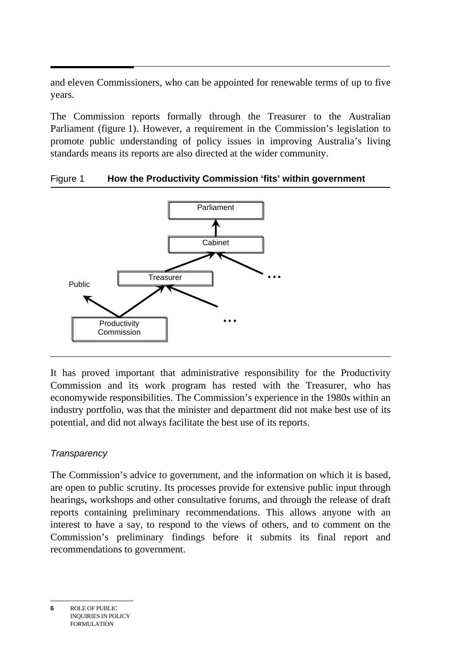and eleven Commissioners, who can be appointed for renewable terms of up to five years.

The Commission reports formally through the Treasurer to the Australian Parliament (figure 1). However, a requirement in the Commission's legislation to promote public understanding of policy issues in improving Australia's living standards means its reports are also directed at the wider community.

#### Figure 1 **How the Productivity Commission 'fits' within government**



It has proved important that administrative responsibility for the Productivity Commission and its work program has rested with the Treasurer, who has economywide responsibilities. The Commission's experience in the 1980s within an industry portfolio, was that the minister and department did not make best use of its potential, and did not always facilitate the best use of its reports.

#### *Transparency*

The Commission's advice to government, and the information on which it is based, are open to public scrutiny. Its processes provide for extensive public input through hearings, workshops and other consultative forums, and through the release of draft reports containing preliminary recommendations. This allows anyone with an interest to have a say, to respond to the views of others, and to comment on the Commission's preliminary findings before it submits its final report and recommendations to government.

**<sup>6</sup>** ROLE OF PUBLIC INQUIRIES IN POLICY FORMULATION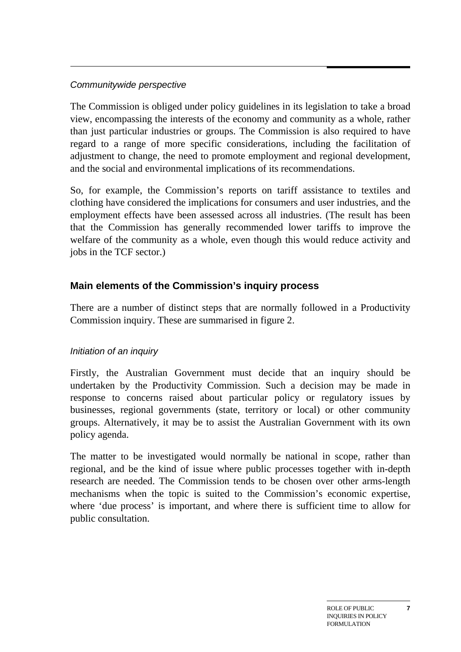#### *Communitywide perspective*

The Commission is obliged under policy guidelines in its legislation to take a broad view, encompassing the interests of the economy and community as a whole, rather than just particular industries or groups. The Commission is also required to have regard to a range of more specific considerations, including the facilitation of adjustment to change, the need to promote employment and regional development, and the social and environmental implications of its recommendations.

So, for example, the Commission's reports on tariff assistance to textiles and clothing have considered the implications for consumers and user industries, and the employment effects have been assessed across all industries. (The result has been that the Commission has generally recommended lower tariffs to improve the welfare of the community as a whole, even though this would reduce activity and jobs in the TCF sector.)

## **Main elements of the Commission's inquiry process**

There are a number of distinct steps that are normally followed in a Productivity Commission inquiry. These are summarised in figure 2.

#### *Initiation of an inquiry*

Firstly, the Australian Government must decide that an inquiry should be undertaken by the Productivity Commission. Such a decision may be made in response to concerns raised about particular policy or regulatory issues by businesses, regional governments (state, territory or local) or other community groups. Alternatively, it may be to assist the Australian Government with its own policy agenda.

The matter to be investigated would normally be national in scope, rather than regional, and be the kind of issue where public processes together with in-depth research are needed. The Commission tends to be chosen over other arms-length mechanisms when the topic is suited to the Commission's economic expertise, where 'due process' is important, and where there is sufficient time to allow for public consultation.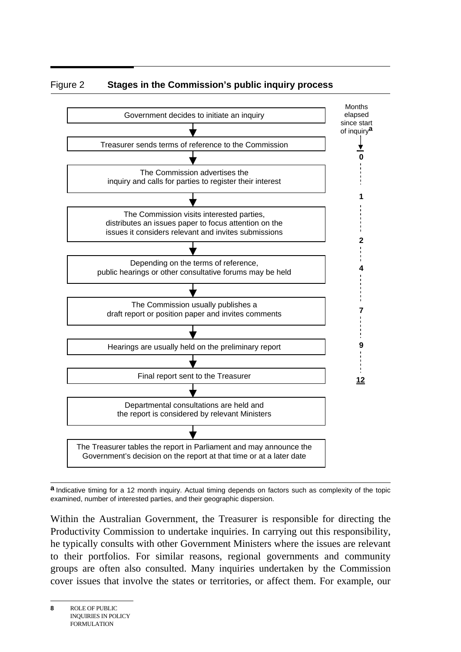



**a** Indicative timing for a 12 month inquiry. Actual timing depends on factors such as complexity of the topic examined, number of interested parties, and their geographic dispersion.

Within the Australian Government, the Treasurer is responsible for directing the Productivity Commission to undertake inquiries. In carrying out this responsibility, he typically consults with other Government Ministers where the issues are relevant to their portfolios. For similar reasons, regional governments and community groups are often also consulted. Many inquiries undertaken by the Commission cover issues that involve the states or territories, or affect them. For example, our

**<sup>8</sup>** ROLE OF PUBLIC INQUIRIES IN POLICY FORMULATION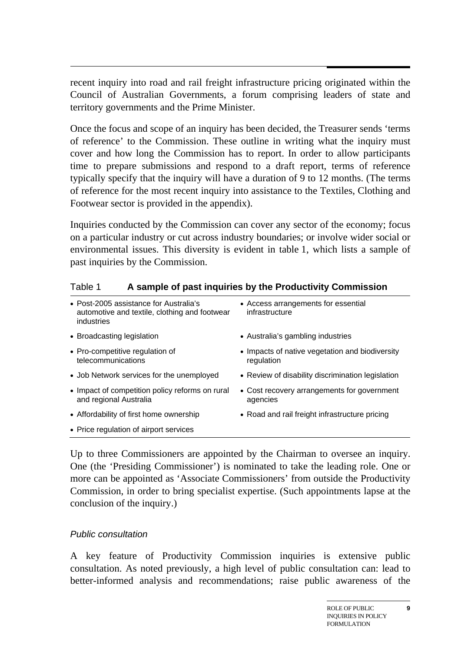recent inquiry into road and rail freight infrastructure pricing originated within the Council of Australian Governments, a forum comprising leaders of state and territory governments and the Prime Minister.

Once the focus and scope of an inquiry has been decided, the Treasurer sends 'terms of reference' to the Commission. These outline in writing what the inquiry must cover and how long the Commission has to report. In order to allow participants time to prepare submissions and respond to a draft report, terms of reference typically specify that the inquiry will have a duration of 9 to 12 months. (The terms of reference for the most recent inquiry into assistance to the Textiles, Clothing and Footwear sector is provided in the appendix).

Inquiries conducted by the Commission can cover any sector of the economy; focus on a particular industry or cut across industry boundaries; or involve wider social or environmental issues. This diversity is evident in table 1, which lists a sample of past inquiries by the Commission.

| rabie i<br>A Sample of past inquiries by the Productivity Commission                                  |                                                               |
|-------------------------------------------------------------------------------------------------------|---------------------------------------------------------------|
| • Post-2005 assistance for Australia's<br>automotive and textile, clothing and footwear<br>industries | • Access arrangements for essential<br>infrastructure         |
| • Broadcasting legislation                                                                            | • Australia's gambling industries                             |
| • Pro-competitive regulation of<br>telecommunications                                                 | • Impacts of native vegetation and biodiversity<br>regulation |
| • Job Network services for the unemployed                                                             | • Review of disability discrimination legislation             |
| • Impact of competition policy reforms on rural<br>and regional Australia                             | • Cost recovery arrangements for government<br>agencies       |
| • Affordability of first home ownership                                                               | • Road and rail freight infrastructure pricing                |
| • Price regulation of airport services                                                                |                                                               |

Table 1 **A sample of past inquiries by the Productivity Commission** 

Up to three Commissioners are appointed by the Chairman to oversee an inquiry. One (the 'Presiding Commissioner') is nominated to take the leading role. One or more can be appointed as 'Associate Commissioners' from outside the Productivity Commission, in order to bring specialist expertise. (Such appointments lapse at the conclusion of the inquiry.)

#### *Public consultation*

A key feature of Productivity Commission inquiries is extensive public consultation. As noted previously, a high level of public consultation can: lead to better-informed analysis and recommendations; raise public awareness of the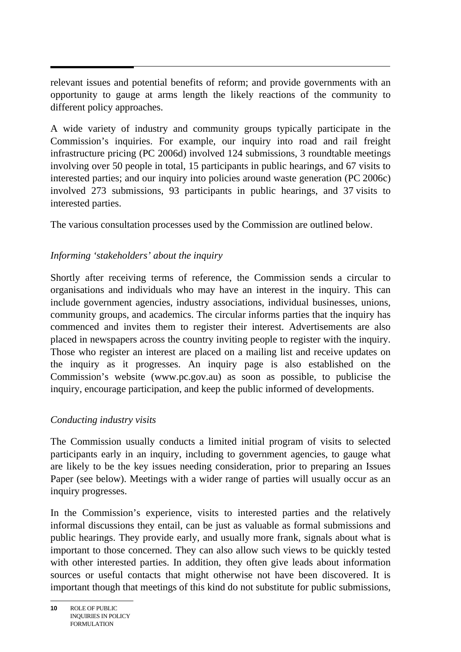relevant issues and potential benefits of reform; and provide governments with an opportunity to gauge at arms length the likely reactions of the community to different policy approaches.

A wide variety of industry and community groups typically participate in the Commission's inquiries. For example, our inquiry into road and rail freight infrastructure pricing (PC 2006d) involved 124 submissions, 3 roundtable meetings involving over 50 people in total, 15 participants in public hearings, and 67 visits to interested parties; and our inquiry into policies around waste generation (PC 2006c) involved 273 submissions, 93 participants in public hearings, and 37 visits to interested parties.

The various consultation processes used by the Commission are outlined below.

## *Informing 'stakeholders' about the inquiry*

Shortly after receiving terms of reference, the Commission sends a circular to organisations and individuals who may have an interest in the inquiry. This can include government agencies, industry associations, individual businesses, unions, community groups, and academics. The circular informs parties that the inquiry has commenced and invites them to register their interest. Advertisements are also placed in newspapers across the country inviting people to register with the inquiry. Those who register an interest are placed on a mailing list and receive updates on the inquiry as it progresses. An inquiry page is also established on the Commission's website (www.pc.gov.au) as soon as possible, to publicise the inquiry, encourage participation, and keep the public informed of developments.

## *Conducting industry visits*

The Commission usually conducts a limited initial program of visits to selected participants early in an inquiry, including to government agencies, to gauge what are likely to be the key issues needing consideration, prior to preparing an Issues Paper (see below). Meetings with a wider range of parties will usually occur as an inquiry progresses.

In the Commission's experience, visits to interested parties and the relatively informal discussions they entail, can be just as valuable as formal submissions and public hearings. They provide early, and usually more frank, signals about what is important to those concerned. They can also allow such views to be quickly tested with other interested parties. In addition, they often give leads about information sources or useful contacts that might otherwise not have been discovered. It is important though that meetings of this kind do not substitute for public submissions,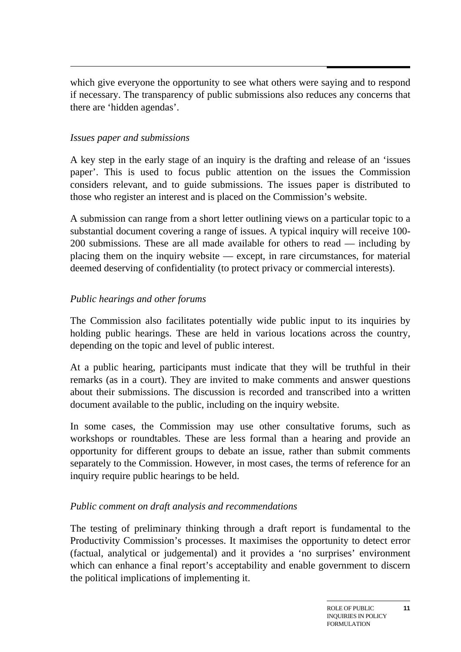which give everyone the opportunity to see what others were saying and to respond if necessary. The transparency of public submissions also reduces any concerns that there are 'hidden agendas'.

#### *Issues paper and submissions*

A key step in the early stage of an inquiry is the drafting and release of an 'issues paper'. This is used to focus public attention on the issues the Commission considers relevant, and to guide submissions. The issues paper is distributed to those who register an interest and is placed on the Commission's website.

A submission can range from a short letter outlining views on a particular topic to a substantial document covering a range of issues. A typical inquiry will receive 100- 200 submissions. These are all made available for others to read — including by placing them on the inquiry website — except, in rare circumstances, for material deemed deserving of confidentiality (to protect privacy or commercial interests).

#### *Public hearings and other forums*

The Commission also facilitates potentially wide public input to its inquiries by holding public hearings. These are held in various locations across the country, depending on the topic and level of public interest.

At a public hearing, participants must indicate that they will be truthful in their remarks (as in a court). They are invited to make comments and answer questions about their submissions. The discussion is recorded and transcribed into a written document available to the public, including on the inquiry website.

In some cases, the Commission may use other consultative forums, such as workshops or roundtables. These are less formal than a hearing and provide an opportunity for different groups to debate an issue, rather than submit comments separately to the Commission. However, in most cases, the terms of reference for an inquiry require public hearings to be held.

#### *Public comment on draft analysis and recommendations*

The testing of preliminary thinking through a draft report is fundamental to the Productivity Commission's processes. It maximises the opportunity to detect error (factual, analytical or judgemental) and it provides a 'no surprises' environment which can enhance a final report's acceptability and enable government to discern the political implications of implementing it.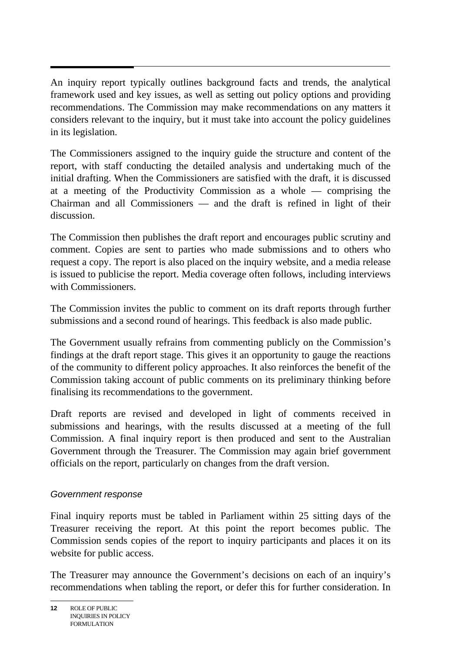An inquiry report typically outlines background facts and trends, the analytical framework used and key issues, as well as setting out policy options and providing recommendations. The Commission may make recommendations on any matters it considers relevant to the inquiry, but it must take into account the policy guidelines in its legislation.

The Commissioners assigned to the inquiry guide the structure and content of the report, with staff conducting the detailed analysis and undertaking much of the initial drafting. When the Commissioners are satisfied with the draft, it is discussed at a meeting of the Productivity Commission as a whole — comprising the Chairman and all Commissioners — and the draft is refined in light of their discussion.

The Commission then publishes the draft report and encourages public scrutiny and comment. Copies are sent to parties who made submissions and to others who request a copy. The report is also placed on the inquiry website, and a media release is issued to publicise the report. Media coverage often follows, including interviews with Commissioners.

The Commission invites the public to comment on its draft reports through further submissions and a second round of hearings. This feedback is also made public.

The Government usually refrains from commenting publicly on the Commission's findings at the draft report stage. This gives it an opportunity to gauge the reactions of the community to different policy approaches. It also reinforces the benefit of the Commission taking account of public comments on its preliminary thinking before finalising its recommendations to the government.

Draft reports are revised and developed in light of comments received in submissions and hearings, with the results discussed at a meeting of the full Commission. A final inquiry report is then produced and sent to the Australian Government through the Treasurer. The Commission may again brief government officials on the report, particularly on changes from the draft version.

#### *Government response*

Final inquiry reports must be tabled in Parliament within 25 sitting days of the Treasurer receiving the report. At this point the report becomes public. The Commission sends copies of the report to inquiry participants and places it on its website for public access.

The Treasurer may announce the Government's decisions on each of an inquiry's recommendations when tabling the report, or defer this for further consideration. In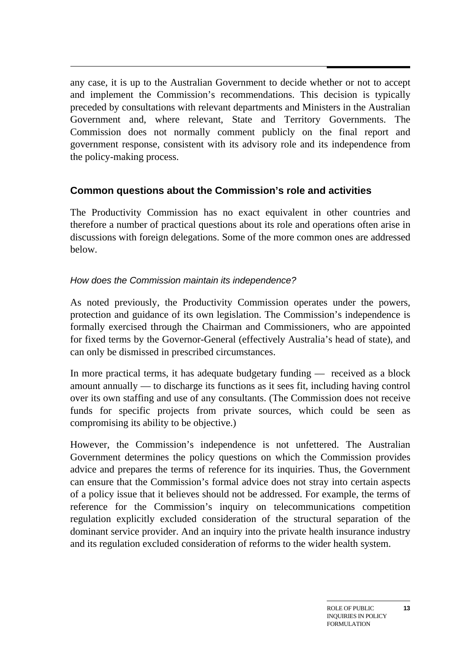any case, it is up to the Australian Government to decide whether or not to accept and implement the Commission's recommendations. This decision is typically preceded by consultations with relevant departments and Ministers in the Australian Government and, where relevant, State and Territory Governments. The Commission does not normally comment publicly on the final report and government response, consistent with its advisory role and its independence from the policy-making process.

## **Common questions about the Commission's role and activities**

The Productivity Commission has no exact equivalent in other countries and therefore a number of practical questions about its role and operations often arise in discussions with foreign delegations. Some of the more common ones are addressed below.

#### *How does the Commission maintain its independence?*

As noted previously, the Productivity Commission operates under the powers, protection and guidance of its own legislation. The Commission's independence is formally exercised through the Chairman and Commissioners, who are appointed for fixed terms by the Governor-General (effectively Australia's head of state), and can only be dismissed in prescribed circumstances.

In more practical terms, it has adequate budgetary funding — received as a block amount annually — to discharge its functions as it sees fit, including having control over its own staffing and use of any consultants. (The Commission does not receive funds for specific projects from private sources, which could be seen as compromising its ability to be objective.)

However, the Commission's independence is not unfettered. The Australian Government determines the policy questions on which the Commission provides advice and prepares the terms of reference for its inquiries. Thus, the Government can ensure that the Commission's formal advice does not stray into certain aspects of a policy issue that it believes should not be addressed. For example, the terms of reference for the Commission's inquiry on telecommunications competition regulation explicitly excluded consideration of the structural separation of the dominant service provider. And an inquiry into the private health insurance industry and its regulation excluded consideration of reforms to the wider health system.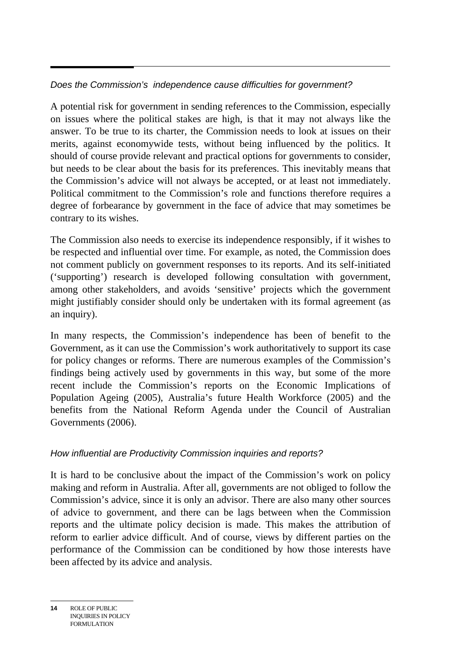#### *Does the Commission's independence cause difficulties for government?*

A potential risk for government in sending references to the Commission, especially on issues where the political stakes are high, is that it may not always like the answer. To be true to its charter, the Commission needs to look at issues on their merits, against economywide tests, without being influenced by the politics. It should of course provide relevant and practical options for governments to consider, but needs to be clear about the basis for its preferences. This inevitably means that the Commission's advice will not always be accepted, or at least not immediately. Political commitment to the Commission's role and functions therefore requires a degree of forbearance by government in the face of advice that may sometimes be contrary to its wishes.

The Commission also needs to exercise its independence responsibly, if it wishes to be respected and influential over time. For example, as noted, the Commission does not comment publicly on government responses to its reports. And its self-initiated ('supporting') research is developed following consultation with government, among other stakeholders, and avoids 'sensitive' projects which the government might justifiably consider should only be undertaken with its formal agreement (as an inquiry).

In many respects, the Commission's independence has been of benefit to the Government, as it can use the Commission's work authoritatively to support its case for policy changes or reforms. There are numerous examples of the Commission's findings being actively used by governments in this way, but some of the more recent include the Commission's reports on the Economic Implications of Population Ageing (2005), Australia's future Health Workforce (2005) and the benefits from the National Reform Agenda under the Council of Australian Governments (2006).

## *How influential are Productivity Commission inquiries and reports?*

It is hard to be conclusive about the impact of the Commission's work on policy making and reform in Australia. After all, governments are not obliged to follow the Commission's advice, since it is only an advisor. There are also many other sources of advice to government, and there can be lags between when the Commission reports and the ultimate policy decision is made. This makes the attribution of reform to earlier advice difficult. And of course, views by different parties on the performance of the Commission can be conditioned by how those interests have been affected by its advice and analysis.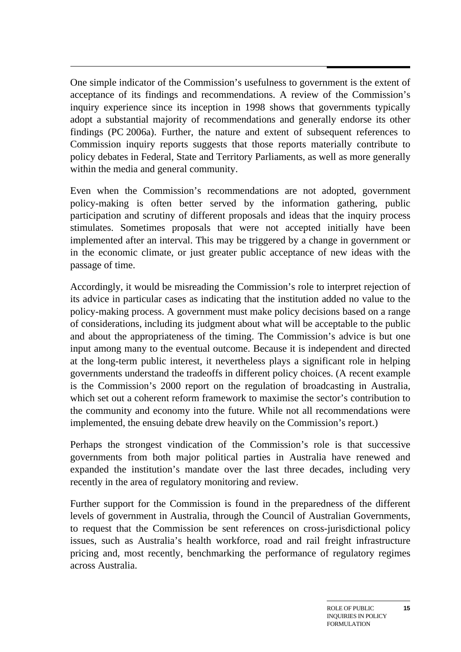$\overline{a}$ One simple indicator of the Commission's usefulness to government is the extent of acceptance of its findings and recommendations. A review of the Commission's inquiry experience since its inception in 1998 shows that governments typically adopt a substantial majority of recommendations and generally endorse its other findings (PC 2006a). Further, the nature and extent of subsequent references to Commission inquiry reports suggests that those reports materially contribute to policy debates in Federal, State and Territory Parliaments, as well as more generally within the media and general community.

Even when the Commission's recommendations are not adopted, government policy-making is often better served by the information gathering, public participation and scrutiny of different proposals and ideas that the inquiry process stimulates. Sometimes proposals that were not accepted initially have been implemented after an interval. This may be triggered by a change in government or in the economic climate, or just greater public acceptance of new ideas with the passage of time.

Accordingly, it would be misreading the Commission's role to interpret rejection of its advice in particular cases as indicating that the institution added no value to the policy-making process. A government must make policy decisions based on a range of considerations, including its judgment about what will be acceptable to the public and about the appropriateness of the timing. The Commission's advice is but one input among many to the eventual outcome. Because it is independent and directed at the long-term public interest, it nevertheless plays a significant role in helping governments understand the tradeoffs in different policy choices. (A recent example is the Commission's 2000 report on the regulation of broadcasting in Australia, which set out a coherent reform framework to maximise the sector's contribution to the community and economy into the future. While not all recommendations were implemented, the ensuing debate drew heavily on the Commission's report.)

Perhaps the strongest vindication of the Commission's role is that successive governments from both major political parties in Australia have renewed and expanded the institution's mandate over the last three decades, including very recently in the area of regulatory monitoring and review.

Further support for the Commission is found in the preparedness of the different levels of government in Australia, through the Council of Australian Governments, to request that the Commission be sent references on cross-jurisdictional policy issues, such as Australia's health workforce, road and rail freight infrastructure pricing and, most recently, benchmarking the performance of regulatory regimes across Australia.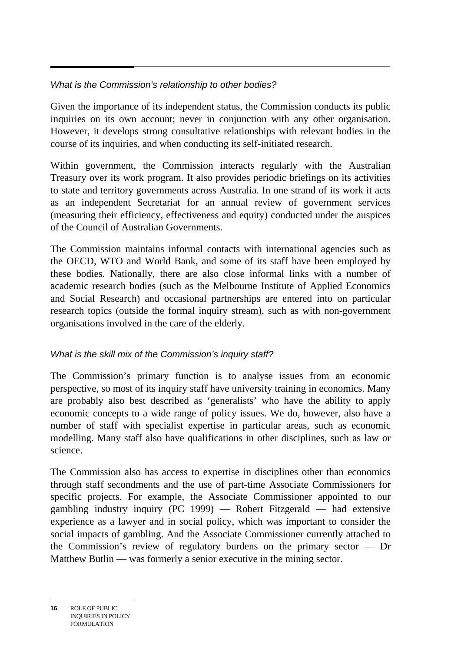#### *What is the Commission's relationship to other bodies?*

Given the importance of its independent status, the Commission conducts its public inquiries on its own account; never in conjunction with any other organisation. However, it develops strong consultative relationships with relevant bodies in the course of its inquiries, and when conducting its self-initiated research.

Within government, the Commission interacts regularly with the Australian Treasury over its work program. It also provides periodic briefings on its activities to state and territory governments across Australia. In one strand of its work it acts as an independent Secretariat for an annual review of government services (measuring their efficiency, effectiveness and equity) conducted under the auspices of the Council of Australian Governments.

The Commission maintains informal contacts with international agencies such as the OECD, WTO and World Bank, and some of its staff have been employed by these bodies. Nationally, there are also close informal links with a number of academic research bodies (such as the Melbourne Institute of Applied Economics and Social Research) and occasional partnerships are entered into on particular research topics (outside the formal inquiry stream), such as with non-government organisations involved in the care of the elderly.

## *What is the skill mix of the Commission's inquiry staff?*

The Commission's primary function is to analyse issues from an economic perspective, so most of its inquiry staff have university training in economics. Many are probably also best described as 'generalists' who have the ability to apply economic concepts to a wide range of policy issues. We do, however, also have a number of staff with specialist expertise in particular areas, such as economic modelling. Many staff also have qualifications in other disciplines, such as law or science.

The Commission also has access to expertise in disciplines other than economics through staff secondments and the use of part-time Associate Commissioners for specific projects. For example, the Associate Commissioner appointed to our gambling industry inquiry  $(PC 1999)$  — Robert Fitzgerald — had extensive experience as a lawyer and in social policy, which was important to consider the social impacts of gambling. And the Associate Commissioner currently attached to the Commission's review of regulatory burdens on the primary sector — Dr Matthew Butlin — was formerly a senior executive in the mining sector.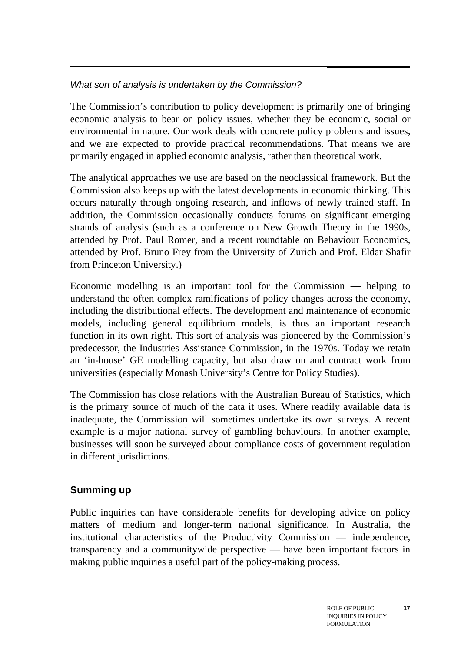## *What sort of analysis is undertaken by the Commission?*

The Commission's contribution to policy development is primarily one of bringing economic analysis to bear on policy issues, whether they be economic, social or environmental in nature. Our work deals with concrete policy problems and issues, and we are expected to provide practical recommendations. That means we are primarily engaged in applied economic analysis, rather than theoretical work.

The analytical approaches we use are based on the neoclassical framework. But the Commission also keeps up with the latest developments in economic thinking. This occurs naturally through ongoing research, and inflows of newly trained staff. In addition, the Commission occasionally conducts forums on significant emerging strands of analysis (such as a conference on New Growth Theory in the 1990s, attended by Prof. Paul Romer, and a recent roundtable on Behaviour Economics, attended by Prof. Bruno Frey from the University of Zurich and Prof. Eldar Shafir from Princeton University.)

Economic modelling is an important tool for the Commission — helping to understand the often complex ramifications of policy changes across the economy, including the distributional effects. The development and maintenance of economic models, including general equilibrium models, is thus an important research function in its own right. This sort of analysis was pioneered by the Commission's predecessor, the Industries Assistance Commission, in the 1970s. Today we retain an 'in-house' GE modelling capacity, but also draw on and contract work from universities (especially Monash University's Centre for Policy Studies).

The Commission has close relations with the Australian Bureau of Statistics, which is the primary source of much of the data it uses. Where readily available data is inadequate, the Commission will sometimes undertake its own surveys. A recent example is a major national survey of gambling behaviours. In another example, businesses will soon be surveyed about compliance costs of government regulation in different jurisdictions.

## **Summing up**

Public inquiries can have considerable benefits for developing advice on policy matters of medium and longer-term national significance. In Australia, the institutional characteristics of the Productivity Commission — independence, transparency and a communitywide perspective — have been important factors in making public inquiries a useful part of the policy-making process.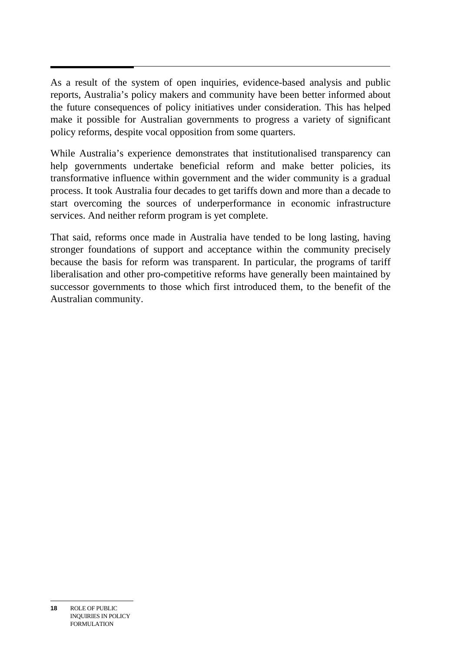As a result of the system of open inquiries, evidence-based analysis and public reports, Australia's policy makers and community have been better informed about the future consequences of policy initiatives under consideration. This has helped make it possible for Australian governments to progress a variety of significant policy reforms, despite vocal opposition from some quarters.

While Australia's experience demonstrates that institutionalised transparency can help governments undertake beneficial reform and make better policies, its transformative influence within government and the wider community is a gradual process. It took Australia four decades to get tariffs down and more than a decade to start overcoming the sources of underperformance in economic infrastructure services. And neither reform program is yet complete.

That said, reforms once made in Australia have tended to be long lasting, having stronger foundations of support and acceptance within the community precisely because the basis for reform was transparent. In particular, the programs of tariff liberalisation and other pro-competitive reforms have generally been maintained by successor governments to those which first introduced them, to the benefit of the Australian community.

**<sup>18</sup>** ROLE OF PUBLIC INQUIRIES IN POLICY FORMULATION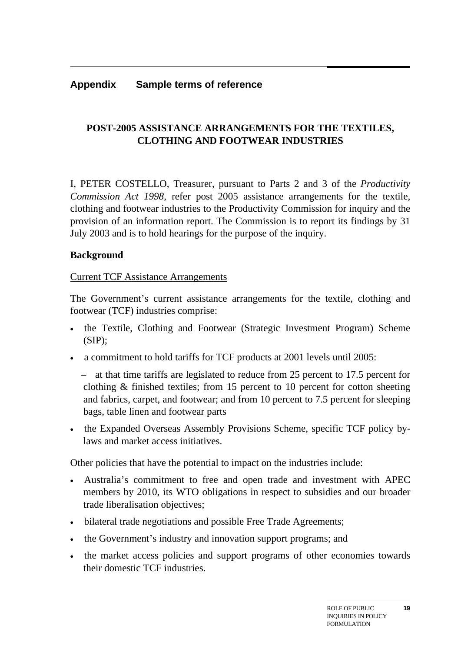#### **Appendix Sample terms of reference**

## **POST-2005 ASSISTANCE ARRANGEMENTS FOR THE TEXTILES, CLOTHING AND FOOTWEAR INDUSTRIES**

I, PETER COSTELLO, Treasurer, pursuant to Parts 2 and 3 of the *Productivity Commission Act 1998*, refer post 2005 assistance arrangements for the textile, clothing and footwear industries to the Productivity Commission for inquiry and the provision of an information report. The Commission is to report its findings by 31 July 2003 and is to hold hearings for the purpose of the inquiry.

#### **Background**

#### Current TCF Assistance Arrangements

The Government's current assistance arrangements for the textile, clothing and footwear (TCF) industries comprise:

- the Textile, Clothing and Footwear (Strategic Investment Program) Scheme  $(SIP)$ ;
- a commitment to hold tariffs for TCF products at 2001 levels until 2005:

– at that time tariffs are legislated to reduce from 25 percent to 17.5 percent for clothing & finished textiles; from 15 percent to 10 percent for cotton sheeting and fabrics, carpet, and footwear; and from 10 percent to 7.5 percent for sleeping bags, table linen and footwear parts

• the Expanded Overseas Assembly Provisions Scheme, specific TCF policy bylaws and market access initiatives.

Other policies that have the potential to impact on the industries include:

- Australia's commitment to free and open trade and investment with APEC members by 2010, its WTO obligations in respect to subsidies and our broader trade liberalisation objectives;
- bilateral trade negotiations and possible Free Trade Agreements;
- the Government's industry and innovation support programs; and
- the market access policies and support programs of other economies towards their domestic TCF industries.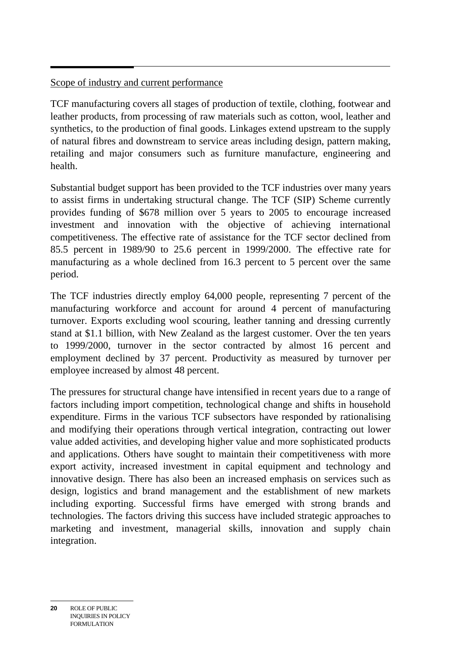#### $\overline{a}$ Scope of industry and current performance

TCF manufacturing covers all stages of production of textile, clothing, footwear and leather products, from processing of raw materials such as cotton, wool, leather and synthetics, to the production of final goods. Linkages extend upstream to the supply of natural fibres and downstream to service areas including design, pattern making, retailing and major consumers such as furniture manufacture, engineering and health.

Substantial budget support has been provided to the TCF industries over many years to assist firms in undertaking structural change. The TCF (SIP) Scheme currently provides funding of \$678 million over 5 years to 2005 to encourage increased investment and innovation with the objective of achieving international competitiveness. The effective rate of assistance for the TCF sector declined from 85.5 percent in 1989/90 to 25.6 percent in 1999/2000. The effective rate for manufacturing as a whole declined from 16.3 percent to 5 percent over the same period.

The TCF industries directly employ 64,000 people, representing 7 percent of the manufacturing workforce and account for around 4 percent of manufacturing turnover. Exports excluding wool scouring, leather tanning and dressing currently stand at \$1.1 billion, with New Zealand as the largest customer. Over the ten years to 1999/2000, turnover in the sector contracted by almost 16 percent and employment declined by 37 percent. Productivity as measured by turnover per employee increased by almost 48 percent.

The pressures for structural change have intensified in recent years due to a range of factors including import competition, technological change and shifts in household expenditure. Firms in the various TCF subsectors have responded by rationalising and modifying their operations through vertical integration, contracting out lower value added activities, and developing higher value and more sophisticated products and applications. Others have sought to maintain their competitiveness with more export activity, increased investment in capital equipment and technology and innovative design. There has also been an increased emphasis on services such as design, logistics and brand management and the establishment of new markets including exporting. Successful firms have emerged with strong brands and technologies. The factors driving this success have included strategic approaches to marketing and investment, managerial skills, innovation and supply chain integration.

**20** ROLE OF PUBLIC INQUIRIES IN POLICY FORMULATION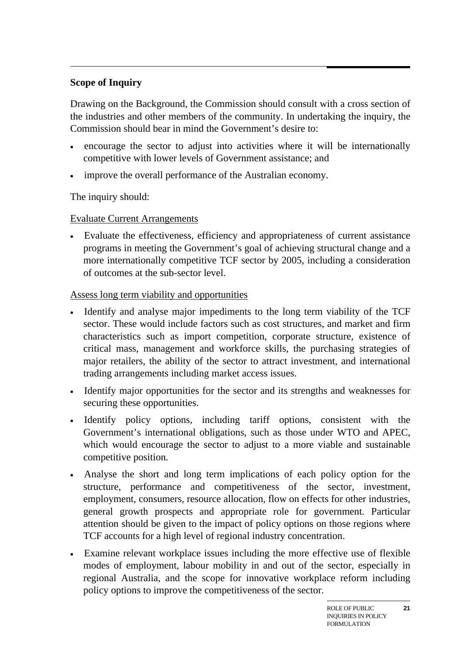#### $\overline{a}$ **Scope of Inquiry**

Drawing on the Background, the Commission should consult with a cross section of the industries and other members of the community. In undertaking the inquiry, the Commission should bear in mind the Government's desire to:

- encourage the sector to adjust into activities where it will be internationally competitive with lower levels of Government assistance; and
- improve the overall performance of the Australian economy.

The inquiry should:

## Evaluate Current Arrangements

• Evaluate the effectiveness, efficiency and appropriateness of current assistance programs in meeting the Government's goal of achieving structural change and a more internationally competitive TCF sector by 2005, including a consideration of outcomes at the sub-sector level.

## Assess long term viability and opportunities

- Identify and analyse major impediments to the long term viability of the TCF sector. These would include factors such as cost structures, and market and firm characteristics such as import competition, corporate structure, existence of critical mass, management and workforce skills, the purchasing strategies of major retailers, the ability of the sector to attract investment, and international trading arrangements including market access issues.
- Identify major opportunities for the sector and its strengths and weaknesses for securing these opportunities.
- Identify policy options, including tariff options, consistent with the Government's international obligations, such as those under WTO and APEC, which would encourage the sector to adjust to a more viable and sustainable competitive position.
- Analyse the short and long term implications of each policy option for the structure, performance and competitiveness of the sector, investment, employment, consumers, resource allocation, flow on effects for other industries, general growth prospects and appropriate role for government. Particular attention should be given to the impact of policy options on those regions where TCF accounts for a high level of regional industry concentration.
- Examine relevant workplace issues including the more effective use of flexible modes of employment, labour mobility in and out of the sector, especially in regional Australia, and the scope for innovative workplace reform including policy options to improve the competitiveness of the sector.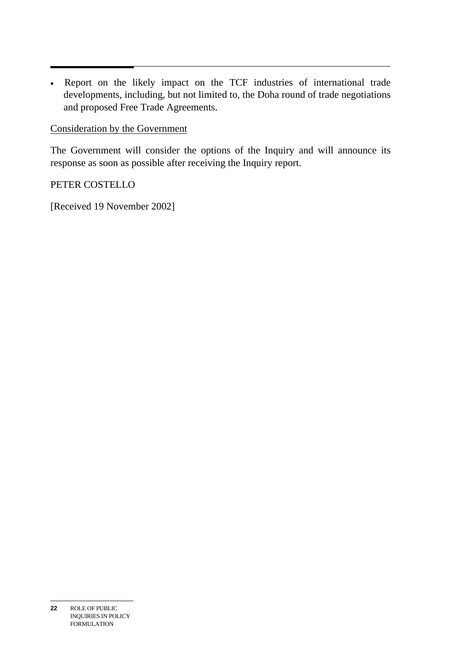• Report on the likely impact on the TCF industries of international trade developments, including, but not limited to, the Doha round of trade negotiations and proposed Free Trade Agreements.

#### Consideration by the Government

The Government will consider the options of the Inquiry and will announce its response as soon as possible after receiving the Inquiry report.

PETER COSTELLO

[Received 19 November 2002]

**<sup>22</sup>** ROLE OF PUBLIC INQUIRIES IN POLICY FORMULATION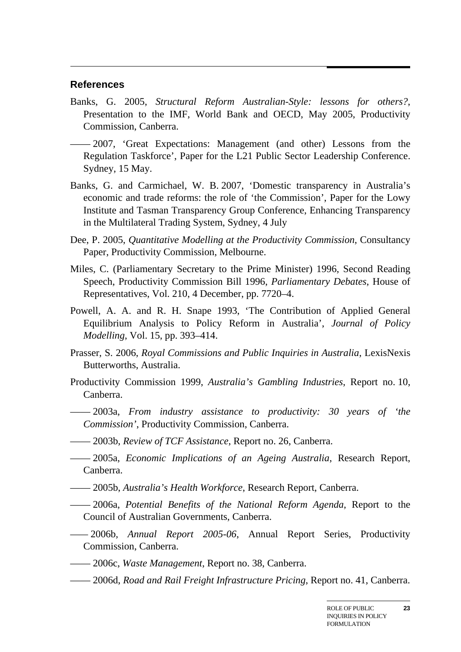#### **References**

- Banks, G. 2005, *Structural Reform Australian-Style: lessons for others?*, Presentation to the IMF, World Bank and OECD, May 2005, Productivity Commission, Canberra.
- —— 2007, 'Great Expectations: Management (and other) Lessons from the Regulation Taskforce', Paper for the L21 Public Sector Leadership Conference. Sydney, 15 May.
- Banks, G. and Carmichael, W. B. 2007, 'Domestic transparency in Australia's economic and trade reforms: the role of 'the Commission', Paper for the Lowy Institute and Tasman Transparency Group Conference, Enhancing Transparency in the Multilateral Trading System, Sydney, 4 July
- Dee, P. 2005, *Quantitative Modelling at the Productivity Commission*, Consultancy Paper, Productivity Commission, Melbourne.
- Miles, C. (Parliamentary Secretary to the Prime Minister) 1996, Second Reading Speech, Productivity Commission Bill 1996, *Parliamentary Debates*, House of Representatives, Vol. 210, 4 December, pp. 7720–4.
- Powell, A. A. and R. H. Snape 1993, 'The Contribution of Applied General Equilibrium Analysis to Policy Reform in Australia', *Journal of Policy Modelling*, Vol. 15, pp. 393–414.
- Prasser, S. 2006, *Royal Commissions and Public Inquiries in Australia*, LexisNexis Butterworths, Australia.
- Productivity Commission 1999, *Australia's Gambling Industries*, Report no. 10, Canberra.
- —— 2003a, *From industry assistance to productivity: 30 years of 'the Commission'*, Productivity Commission, Canberra.
- —— 2003b, *Review of TCF Assistance*, Report no. 26, Canberra.
- —— 2005a, *Economic Implications of an Ageing Australia*, Research Report, Canberra.
- —— 2005b, *Australia's Health Workforce*, Research Report, Canberra.
- —— 2006a, *Potential Benefits of the National Reform Agenda*, Report to the Council of Australian Governments, Canberra.
- *——* 2006b*, Annual Report 2005-06*, Annual Report Series, Productivity Commission, Canberra.
- —— 2006c, *Waste Management*, Report no. 38, Canberra.
- —— 2006d, *Road and Rail Freight Infrastructure Pricing*, Report no. 41, Canberra.